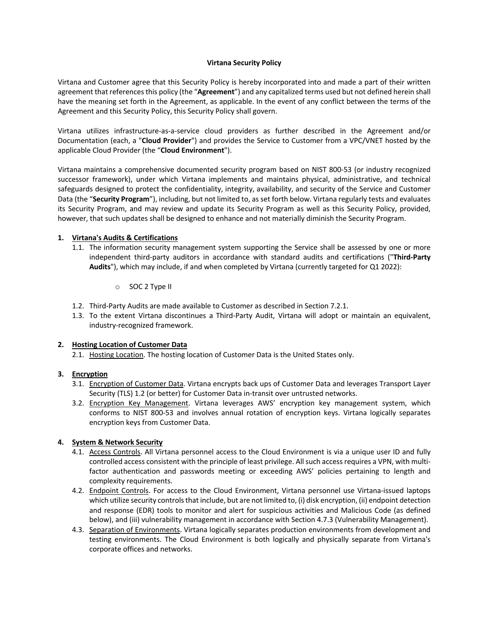#### **Virtana Security Policy**

Virtana and Customer agree that this Security Policy is hereby incorporated into and made a part of their written agreement that references this policy (the "**Agreement**") and any capitalized terms used but not defined herein shall have the meaning set forth in the Agreement, as applicable. In the event of any conflict between the terms of the Agreement and this Security Policy, this Security Policy shall govern.

Virtana utilizes infrastructure-as-a-service cloud providers as further described in the Agreement and/or Documentation (each, a "**Cloud Provider**") and provides the Service to Customer from a VPC/VNET hosted by the applicable Cloud Provider (the "**Cloud Environment**").

Virtana maintains a comprehensive documented security program based on NIST 800-53 (or industry recognized successor framework), under which Virtana implements and maintains physical, administrative, and technical safeguards designed to protect the confidentiality, integrity, availability, and security of the Service and Customer Data (the "**Security Program**"), including, but not limited to, as set forth below. Virtana regularly tests and evaluates its Security Program, and may review and update its Security Program as well as this Security Policy, provided, however, that such updates shall be designed to enhance and not materially diminish the Security Program.

### **1. Virtana's Audits & Certifications**

- 1.1. The information security management system supporting the Service shall be assessed by one or more independent third-party auditors in accordance with standard audits and certifications ("**Third-Party Audits**"), which may include, if and when completed by Virtana (currently targeted for Q1 2022):
	- o SOC 2 Type II
- 1.2. Third-Party Audits are made available to Customer as described in Section 7.2.1.
- 1.3. To the extent Virtana discontinues a Third-Party Audit, Virtana will adopt or maintain an equivalent, industry-recognized framework.

### **2. Hosting Location of Customer Data**

2.1. Hosting Location. The hosting location of Customer Data is the United States only.

### **3. Encryption**

- 3.1. Encryption of Customer Data. Virtana encrypts back ups of Customer Data and leverages Transport Layer Security (TLS) 1.2 (or better) for Customer Data in-transit over untrusted networks.
- 3.2. Encryption Key Management. Virtana leverages AWS' encryption key management system, which conforms to NIST 800-53 and involves annual rotation of encryption keys. Virtana logically separates encryption keys from Customer Data.

### **4. System & Network Security**

- 4.1. Access Controls. All Virtana personnel access to the Cloud Environment is via a unique user ID and fully controlled access consistent with the principle of least privilege. All such access requires a VPN, with multifactor authentication and passwords meeting or exceeding AWS' policies pertaining to length and complexity requirements.
- 4.2. Endpoint Controls. For access to the Cloud Environment, Virtana personnel use Virtana-issued laptops which utilize security controls that include, but are not limited to, (i) disk encryption, (ii) endpoint detection and response (EDR) tools to monitor and alert for suspicious activities and Malicious Code (as defined below), and (iii) vulnerability management in accordance with Section 4.7.3 (Vulnerability Management).
- 4.3. Separation of Environments. Virtana logically separates production environments from development and testing environments. The Cloud Environment is both logically and physically separate from Virtana's corporate offices and networks.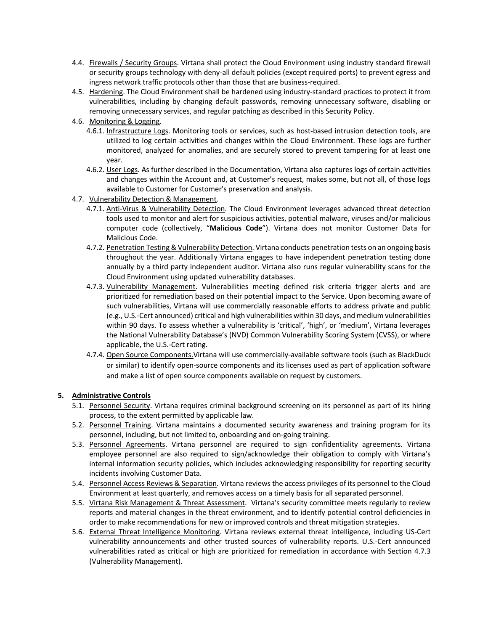- 4.4. Firewalls / Security Groups. Virtana shall protect the Cloud Environment using industry standard firewall or security groups technology with deny-all default policies (except required ports) to prevent egress and ingress network traffic protocols other than those that are business-required.
- 4.5. Hardening. The Cloud Environment shall be hardened using industry-standard practices to protect it from vulnerabilities, including by changing default passwords, removing unnecessary software, disabling or removing unnecessary services, and regular patching as described in this Security Policy.
- 4.6. Monitoring & Logging.
	- 4.6.1. Infrastructure Logs. Monitoring tools or services, such as host-based intrusion detection tools, are utilized to log certain activities and changes within the Cloud Environment. These logs are further monitored, analyzed for anomalies, and are securely stored to prevent tampering for at least one year.
	- 4.6.2. User Logs. As further described in the Documentation, Virtana also captures logs of certain activities and changes within the Account and, at Customer's request, makes some, but not all, of those logs available to Customer for Customer's preservation and analysis.
- 4.7. Vulnerability Detection & Management.
	- 4.7.1. Anti-Virus & Vulnerability Detection. The Cloud Environment leverages advanced threat detection tools used to monitor and alert for suspicious activities, potential malware, viruses and/or malicious computer code (collectively, "**Malicious Code**"). Virtana does not monitor Customer Data for Malicious Code.
	- 4.7.2. Penetration Testing & Vulnerability Detection. Virtana conducts penetration tests on an ongoing basis throughout the year. Additionally Virtana engages to have independent penetration testing done annually by a third party independent auditor. Virtana also runs regular vulnerability scans for the Cloud Environment using updated vulnerability databases.
	- 4.7.3. Vulnerability Management. Vulnerabilities meeting defined risk criteria trigger alerts and are prioritized for remediation based on their potential impact to the Service. Upon becoming aware of such vulnerabilities, Virtana will use commercially reasonable efforts to address private and public (e.g., U.S.-Cert announced) critical and high vulnerabilities within 30 days, and medium vulnerabilities within 90 days. To assess whether a vulnerability is 'critical', 'high', or 'medium', Virtana leverages the National Vulnerability Database's (NVD) Common Vulnerability Scoring System (CVSS), or where applicable, the U.S.-Cert rating.
	- 4.7.4. Open Source Components. Virtana will use commercially-available software tools (such as BlackDuck or similar) to identify open-source components and its licenses used as part of application software and make a list of open source components available on request by customers.

# **5. Administrative Controls**

- 5.1. Personnel Security. Virtana requires criminal background screening on its personnel as part of its hiring process, to the extent permitted by applicable law.
- 5.2. Personnel Training. Virtana maintains a documented security awareness and training program for its personnel, including, but not limited to, onboarding and on-going training.
- 5.3. Personnel Agreements. Virtana personnel are required to sign confidentiality agreements. Virtana employee personnel are also required to sign/acknowledge their obligation to comply with Virtana's internal information security policies, which includes acknowledging responsibility for reporting security incidents involving Customer Data.
- 5.4. Personnel Access Reviews & Separation. Virtana reviews the access privileges of its personnel to the Cloud Environment at least quarterly, and removes access on a timely basis for all separated personnel.
- 5.5. Virtana Risk Management & Threat Assessment. Virtana's security committee meets regularly to review reports and material changes in the threat environment, and to identify potential control deficiencies in order to make recommendations for new or improved controls and threat mitigation strategies.
- 5.6. External Threat Intelligence Monitoring. Virtana reviews external threat intelligence, including US-Cert vulnerability announcements and other trusted sources of vulnerability reports. U.S.-Cert announced vulnerabilities rated as critical or high are prioritized for remediation in accordance with Section 4.7.3 (Vulnerability Management).